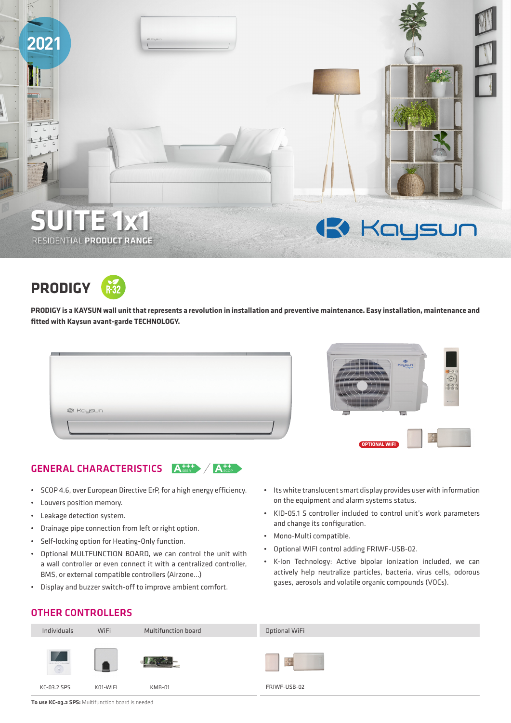



**PRODIGY is a KAYSUN wall unit that represents a revolution in installation and preventive maintenance. Easy installation, maintenance and fitted with Kaysun avant-garde TECHNOLOGY.** 

|                  | The party service and the con-<br>450<br>of the local dealership and the local dealership.<br>all the control of the control of the control of the control of the control of<br>Kaysun<br>_________________<br>_________<br>come of the party states of the component states of the component of<br>_________<br>_______________<br>_________________<br>________<br>$-\hat{\Theta}$<br>$1/7/2$ $\rightarrow$ $\rightarrow$<br>EEEE<br>كالطاط<br>$\overline{D}$<br>_____<br>_____ |
|------------------|-----------------------------------------------------------------------------------------------------------------------------------------------------------------------------------------------------------------------------------------------------------------------------------------------------------------------------------------------------------------------------------------------------------------------------------------------------------------------------------|
| <b>13</b> Kaysun | NSZZZ<br><b>G</b> Houston<br><u> Karl Herecht</u><br>The the company and provide and the the<br>the the the change of the the the<br>$\sim$<br><b>1-1</b>                                                                                                                                                                                                                                                                                                                         |
|                  | <b>OPTIONAL WIFI</b>                                                                                                                                                                                                                                                                                                                                                                                                                                                              |

## **GENERAL CHARACTERISTICS A++++> A+++**

- SCOP 4.6, over European Directive ErP, for a high energy efficiency.
- Louvers position memory.
- Leakage detection system.
- Drainage pipe connection from left or right option.
- Self-locking option for Heating-Only function.
- Optional MULTFUNCTION BOARD, we can control the unit with a wall controller or even connect it with a centralized controller, BMS, or external compatible controllers (Airzone...)
- Display and buzzer switch-off to improve ambient comfort.
- Its white translucent smart display provides user with information on the equipment and alarm systems status.
- KID-05.1 S controller included to control unit's work parameters and change its configuration.
- Mono-Multi compatible.
- Optional WIFI control adding FRIWF-USB-02.
- K-Ion Technology: Active bipolar ionization included, we can actively help neutralize particles, bacteria, virus cells, odorous gases, aerosols and volatile organic compounds (VOCs).

## OTHER CONTROLLERS



**To use KC-03.2 SPS:** Multifunction board is needed